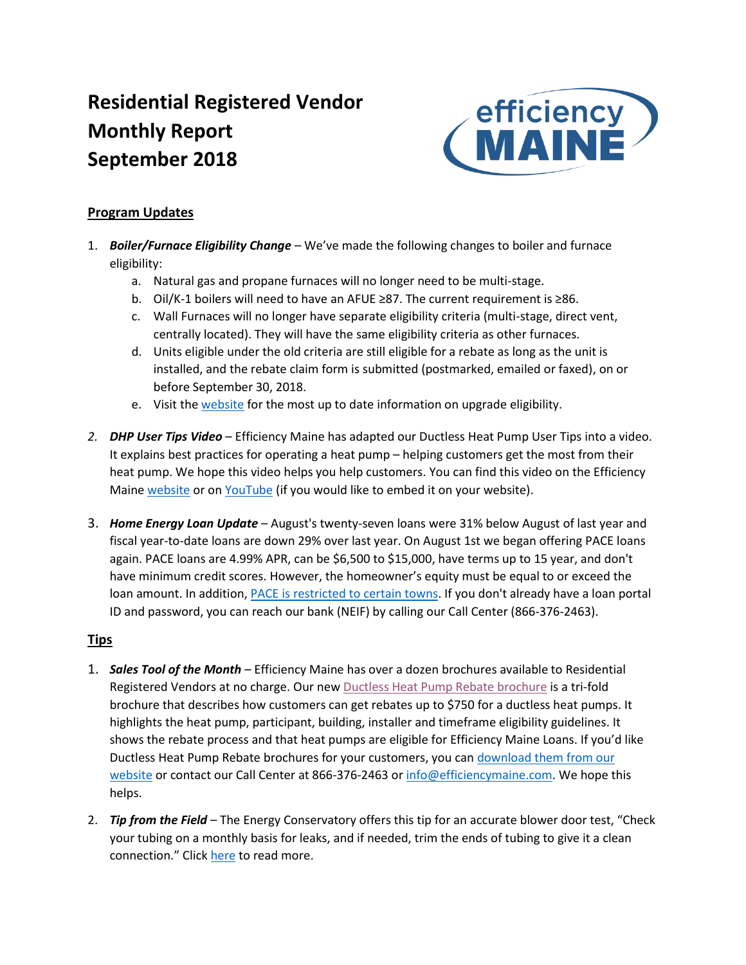# **Residential Registered Vendor Monthly Report September 2018**



## **Program Updates**

- 1. *Boiler/Furnace Eligibility Change* We've made the following changes to boiler and furnace eligibility:
	- a. Natural gas and propane furnaces will no longer need to be multi-stage.
	- b. Oil/K-1 boilers will need to have an AFUE ≥87. The current requirement is ≥86.
	- c. Wall Furnaces will no longer have separate eligibility criteria (multi-stage, direct vent, centrally located). They will have the same eligibility criteria as other furnaces.
	- d. Units eligible under the old criteria are still eligible for a rebate as long as the unit is installed, and the rebate claim form is submitted (postmarked, emailed or faxed), on or before September 30, 2018.
	- e. Visit the [website](https://www.efficiencymaine.com/at-home/boilers-and-furnaces/) for the most up to date information on upgrade eligibility.
- *2. DHP User Tips Video* Efficiency Maine has adapted our Ductless Heat Pump User Tips into a video. It explains best practices for operating a heat pump – helping customers get the most from their heat pump. We hope this video helps you help customers. You can find this video on the Efficiency Maine [website](https://www.efficiencymaine.com/heat-pump-user-tips/) or o[n YouTube](https://www.youtube.com/watch?v=JFvT77a8KhQ) (if you would like to embed it on your website).
- 3. *Home Energy Loan Update* August's twenty-seven loans were 31% below August of last year and fiscal year-to-date loans are down 29% over last year. On August 1st we began offering PACE loans again. PACE loans are 4.99% APR, can be \$6,500 to \$15,000, have terms up to 15 year, and don't have minimum credit scores. However, the homeowner's equity must be equal to or exceed the loan amount. In addition[, PACE is restricted to certain towns.](https://www.efficiencymaine.com/docs/List-of-PACE-municipalities1.pdf) If you don't already have a loan portal ID and password, you can reach our bank (NEIF) by calling our Call Center (866-376-2463).

## **Tips**

- 1. *Sales Tool of the Month* Efficiency Maine has over a dozen brochures available to Residential Registered Vendors at no charge. Our new [Ductless Heat Pump Rebate brochure](https://www.efficiencymaine.com/docs/EM-Heat-Pump-TriFold_v2_Web.pdf) is a tri-fold brochure that describes how customers can get rebates up to \$750 for a ductless heat pumps. It highlights the heat pump, participant, building, installer and timeframe eligibility guidelines. It shows the rebate process and that heat pumps are eligible for Efficiency Maine Loans. If you'd like Ductless Heat Pump Rebate brochures for your customers, you ca[n download them from our](https://www.efficiencymaine.com/docs/EM-Heat-Pump-TriFold_v2_Web.pdf)  [website](https://www.efficiencymaine.com/docs/EM-Heat-Pump-TriFold_v2_Web.pdf) or contact our Call Center at 866-376-2463 o[r info@efficiencymaine.com.](mailto:info@efficiencymaine.com) We hope this helps.
- 2. *Tip from the Field* The Energy Conservatory offers this tip for an accurate blower door test, "Check your tubing on a monthly basis for leaks, and if needed, trim the ends of tubing to give it a clean connection." Click [here](http://energyconservatory.com/three-tips-for-accurate-air-tightness-tests-every-time/) to read more.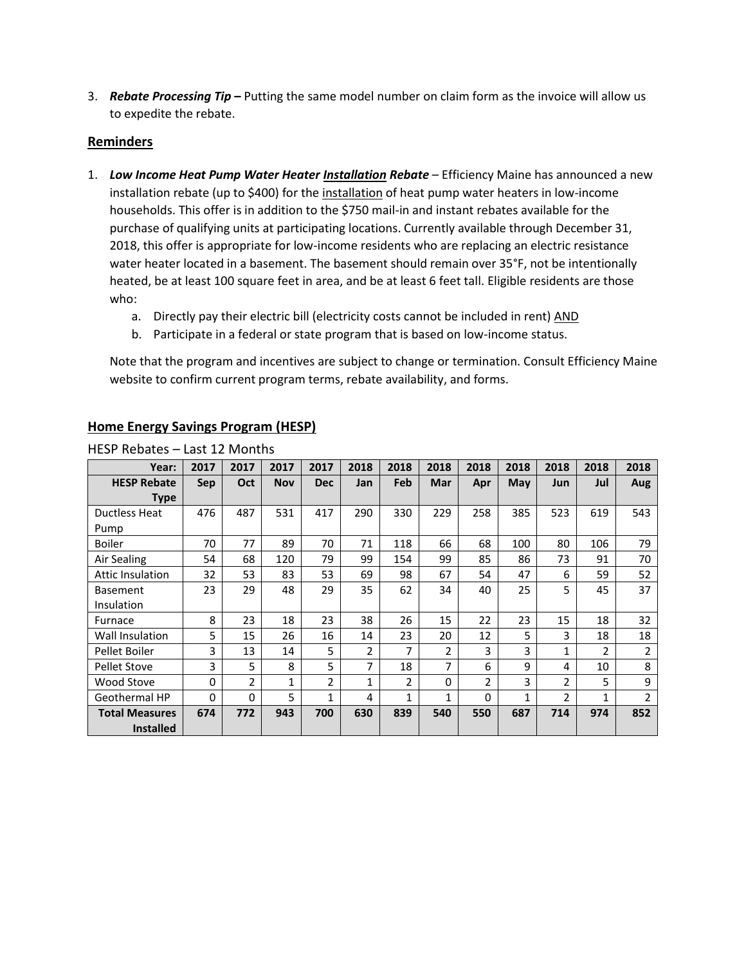3. *Rebate Processing Tip* **–** Putting the same model number on claim form as the invoice will allow us to expedite the rebate.

#### **Reminders**

- 1. *Low Income Heat Pump Water Heater Installation Rebate* Efficiency Maine has announced a new installation rebate (up to \$400) for the installation of heat pump water heaters in low-income households. This offer is in addition to the \$750 mail-in and instant rebates available for the purchase of qualifying units at participating locations. Currently available through December 31, 2018, this offer is appropriate for low-income residents who are replacing an electric resistance water heater located in a basement. The basement should remain over 35°F, not be intentionally heated, be at least 100 square feet in area, and be at least 6 feet tall. Eligible residents are those who:
	- a. Directly pay their electric bill (electricity costs cannot be included in rent) AND
	- b. Participate in a federal or state program that is based on low-income status.

Note that the program and incentives are subject to change or termination. Consult Efficiency Maine website to confirm current program terms, rebate availability, and forms.

| Year:                   | 2017       | 2017          | 2017       | 2017       | 2018 | 2018          | 2018     | 2018     | 2018 | 2018           | 2018           | 2018           |
|-------------------------|------------|---------------|------------|------------|------|---------------|----------|----------|------|----------------|----------------|----------------|
| <b>HESP Rebate</b>      | <b>Sep</b> | Oct           | <b>Nov</b> | <b>Dec</b> | Jan  | <b>Feb</b>    | Mar      | Apr      | May  | Jun            | Jul            | Aug            |
| <b>Type</b>             |            |               |            |            |      |               |          |          |      |                |                |                |
| Ductless Heat           | 476        | 487           | 531        | 417        | 290  | 330           | 229      | 258      | 385  | 523            | 619            | 543            |
| Pump                    |            |               |            |            |      |               |          |          |      |                |                |                |
| Boiler                  | 70         | 77            | 89         | 70         | 71   | 118           | 66       | 68       | 100  | 80             | 106            | 79             |
| Air Sealing             | 54         | 68            | 120        | 79         | 99   | 154           | 99       | 85       | 86   | 73             | 91             | 70             |
| <b>Attic Insulation</b> | 32         | 53            | 83         | 53         | 69   | 98            | 67       | 54       | 47   | 6              | 59             | 52             |
| <b>Basement</b>         | 23         | 29            | 48         | 29         | 35   | 62            | 34       | 40       | 25   | 5              | 45             | 37             |
| Insulation              |            |               |            |            |      |               |          |          |      |                |                |                |
| Furnace                 | 8          | 23            | 18         | 23         | 38   | 26            | 15       | 22       | 23   | 15             | 18             | 32             |
| Wall Insulation         | 5          | 15            | 26         | 16         | 14   | 23            | 20       | 12       | 5    | 3              | 18             | 18             |
| Pellet Boiler           | 3          | 13            | 14         | 5          | 2    | 7             | 2        | 3        | 3    | 1              | $\overline{2}$ | 2              |
| <b>Pellet Stove</b>     | 3          | 5             | 8          | 5          | 7    | 18            | 7        | 6        | 9    | 4              | 10             | 8              |
| Wood Stove              | 0          | $\mathfrak z$ | 1          | 2          | 1    | $\mathcal{P}$ | $\Omega$ | 2        | 3    | $\mathfrak z$  | 5.             | 9              |
| Geothermal HP           | 0          | 0             | 5          | 1          | 4    | 1             | 1        | $\Omega$ | 1    | $\overline{2}$ | 1              | $\overline{2}$ |
| <b>Total Measures</b>   | 674        | 772           | 943        | 700        | 630  | 839           | 540      | 550      | 687  | 714            | 974            | 852            |
| <b>Installed</b>        |            |               |            |            |      |               |          |          |      |                |                |                |

#### **Home Energy Savings Program (HESP)**

HESP Rebates – Last 12 Months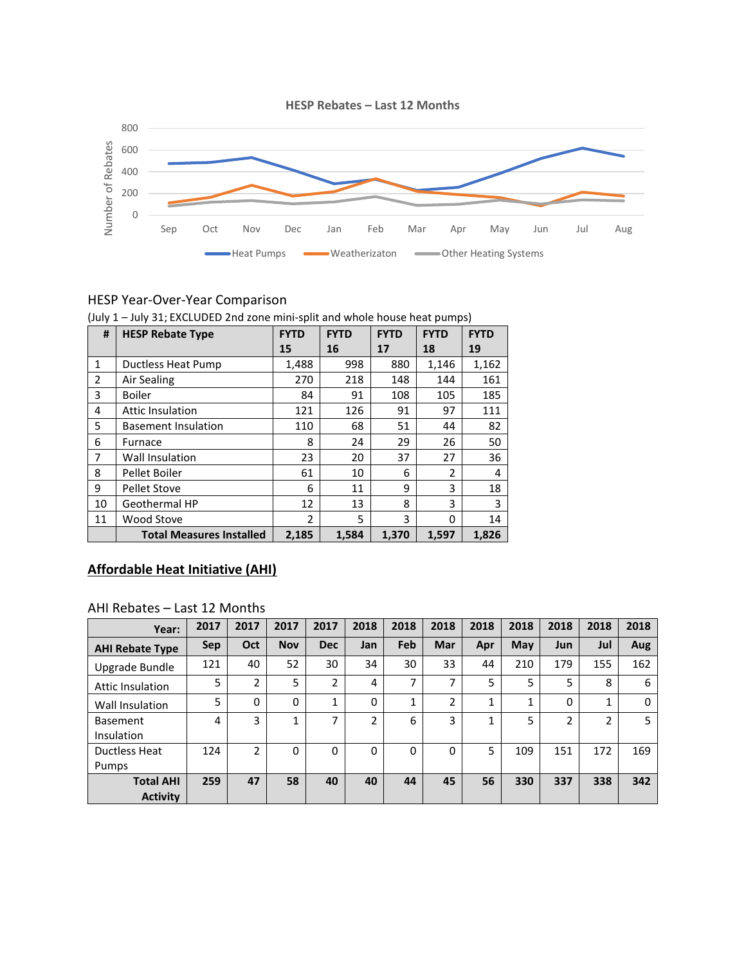

#### HESP Year-Over-Year Comparison

|                | (July 1 – July 31; EXCLODED 2nd zone mini-split and whole house heat pumps) |                |             |             |             |             |  |  |  |
|----------------|-----------------------------------------------------------------------------|----------------|-------------|-------------|-------------|-------------|--|--|--|
| #              | <b>HESP Rebate Type</b>                                                     | <b>FYTD</b>    | <b>FYTD</b> | <b>FYTD</b> | <b>FYTD</b> | <b>FYTD</b> |  |  |  |
|                |                                                                             | 15             | 16          | 17          | 18          | 19          |  |  |  |
| $\mathbf{1}$   | Ductless Heat Pump                                                          | 1,488          | 998         | 880         | 1,146       | 1,162       |  |  |  |
| $\overline{2}$ | Air Sealing                                                                 | 270            | 218         | 148         | 144         | 161         |  |  |  |
| 3              | <b>Boiler</b>                                                               | 84             | 91          | 108         | 105         | 185         |  |  |  |
| 4              | <b>Attic Insulation</b>                                                     | 121            | 126         | 91          | 97          | 111         |  |  |  |
| 5              | <b>Basement Insulation</b>                                                  | 110            | 68          | 51          | 44          | 82          |  |  |  |
| 6              | Furnace                                                                     | 8              | 24          | 29          | 26          | 50          |  |  |  |
| 7              | <b>Wall Insulation</b>                                                      | 23             | 20          | 37          | 27          | 36          |  |  |  |
| 8              | Pellet Boiler                                                               | 61             | 10          | 6           | 2           | 4           |  |  |  |
| 9              | <b>Pellet Stove</b>                                                         | 6              | 11          | 9           | 3           | 18          |  |  |  |
| 10             | Geothermal HP                                                               | 12             | 13          | 8           | 3           | 3           |  |  |  |
| 11             | Wood Stove                                                                  | $\overline{2}$ | 5           | 3           | 0           | 14          |  |  |  |
|                | <b>Total Measures Installed</b>                                             | 2,185          | 1,584       | 1,370       | 1,597       | 1,826       |  |  |  |

(July 1 – July 31; EXCLUDED 2nd zone mini-split and whole house heat pumps)

## **Affordable Heat Initiative (AHI)**

#### AHI Rebates – Last 12 Months

| Year:                               | 2017 | 2017           | 2017       | 2017       | 2018     | 2018                     | 2018     | 2018         | 2018 | 2018 | 2018 | 2018     |
|-------------------------------------|------|----------------|------------|------------|----------|--------------------------|----------|--------------|------|------|------|----------|
| <b>AHI Rebate Type</b>              | Sep  | Oct            | <b>Nov</b> | <b>Dec</b> | Jan      | Feb                      | Mar      | Apr          | May  | Jun  | Jul  | Aug      |
| Upgrade Bundle                      | 121  | 40             | 52         | 30         | 34       | 30                       | 33       | 44           | 210  | 179  | 155  | 162      |
| <b>Attic Insulation</b>             | 5    | 2              | 5          | 2          | 4        | $\overline{\phantom{a}}$ | ⇁        | 5            | 5    | 5    | 8    | 6        |
| Wall Insulation                     | 5    | 0              | 0          | 1          | 0        | 1                        | 2        | $\mathbf{1}$ |      | 0    | 1    | $\Omega$ |
| <b>Basement</b><br>Insulation       | 4    | 3              | ◢          | 7          | 2        | 6                        | 3        | 1            | 5    | 2    | 2    | 5        |
| Ductless Heat<br>Pumps              | 124  | $\mathfrak{p}$ | $\Omega$   | $\Omega$   | $\Omega$ | $\Omega$                 | $\Omega$ | 5            | 109  | 151  | 172  | 169      |
| <b>Total AHI</b><br><b>Activity</b> | 259  | 47             | 58         | 40         | 40       | 44                       | 45       | 56           | 330  | 337  | 338  | 342      |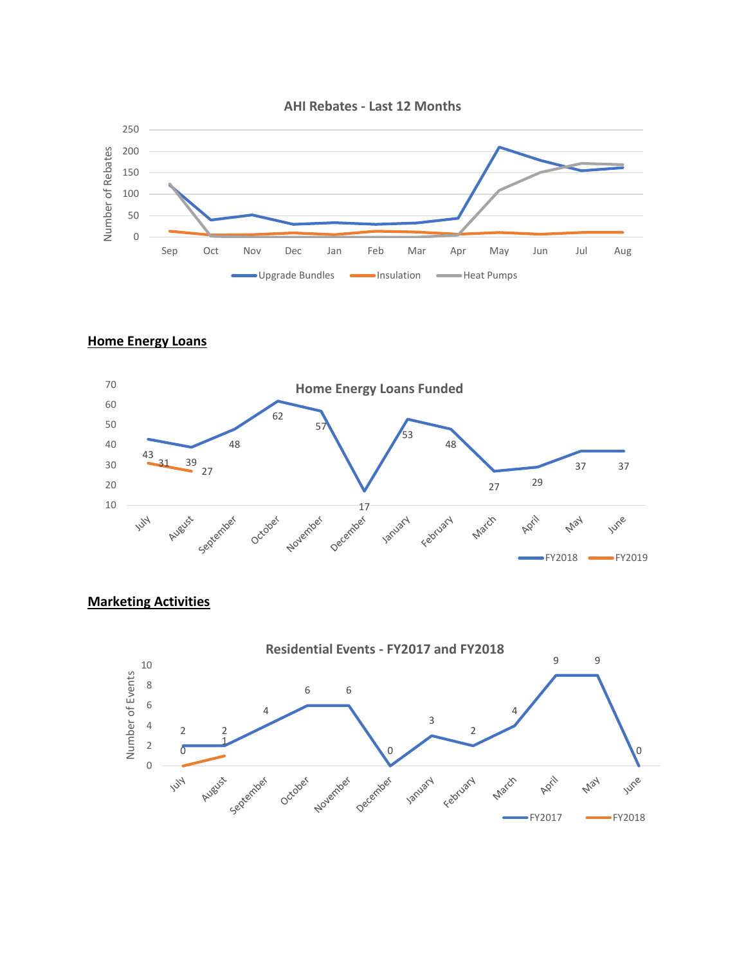

#### **Home Energy Loans**